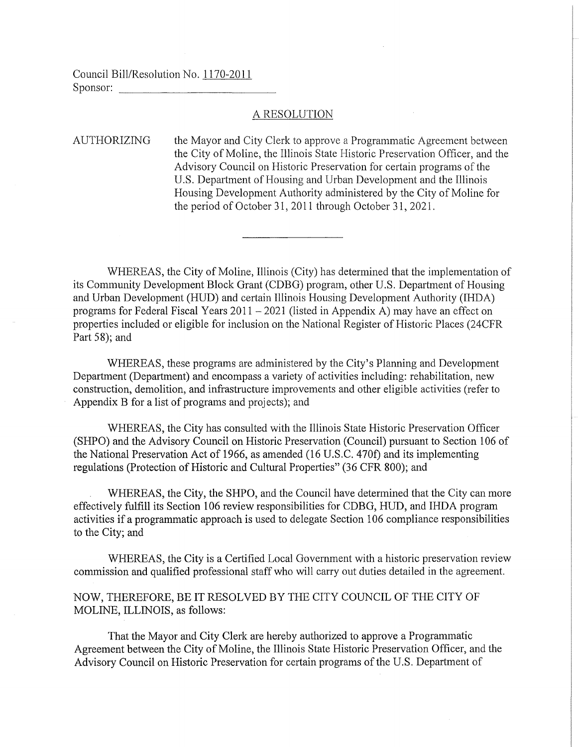Council Bill/Resolution No. 1170-2011 Sponsor:

## A RESOLUTION

AUTHORIZING the Mayor and City Clerk to approve a Programmatic Agreement between the City of Moline, the Illinois State Historic Preservation Officer, and the Advisory Council on Historic Preservation for certain programs of the U.S. Department of Housing and Urban Development and the Illinois Housing Development Authority administered by the City of Moline for the period of October 31, 2011 through October 31, 2021.

WHEREAS, the City of Moline, Illinois (City) has determined that the implementation of its Community Development Block Grant (CDBG) program, other U.S. Depatiment of Housing and Urban Development (HUD) and certain Illinois Housing Development Authority (IHDA) programs for Federal Fiscal Years 2011 - 2021 (listed in Appendix A) may have an effect on properties included or eligible for inclusion on the National Register of Historic Places (24CFR Part 58); and

WHEREAS, these programs are administered by the City's Planning and Development Department (Department) and encompass a variety of activities including: rehabilitation, new construction, demolition, and infrastructure improvements and other eligible activities (refer to Appendix B for a list of programs and projects); and

WHEREAS, the City has consulted with the Illinois State Historic Preservation Officer (SHPO) and the Advisory Council on Historic Preservation (Council) pursuant to Section 106 of the National Preservation Act of 1966, as amended (16 U.S.C. 470f) and its implementing regulations (Protection of Historic and Cultural Properties" (36 CFR 800); and

WHEREAS, the City, the SHPO, and the Council have determined that the City can more effectively fulfill its Section 106 review responsibilities for CDBG, HUD, and IHDA program activities if a programmatic approach is used to delegate Section 106 compliance responsibilities to the City; and

WHEREAS, the City is a Certified Local Government with a historic preservation review commission and qualified professional staff who will carry out duties detailed in the agreement.

NOW, THEREFORE, BE IT RESOLVED BY THE CITY COUNCIL OF THE CITY OF MOLINE, ILLINOIS, as follows:

That the Mayor and City Clerk are hereby authorized to approve a Programmatic Agreement between the City of Moline, the Illinois State Historic Preservation Officer, and the Advisory Council on Historic Preservation for certain programs of the U.S. Department of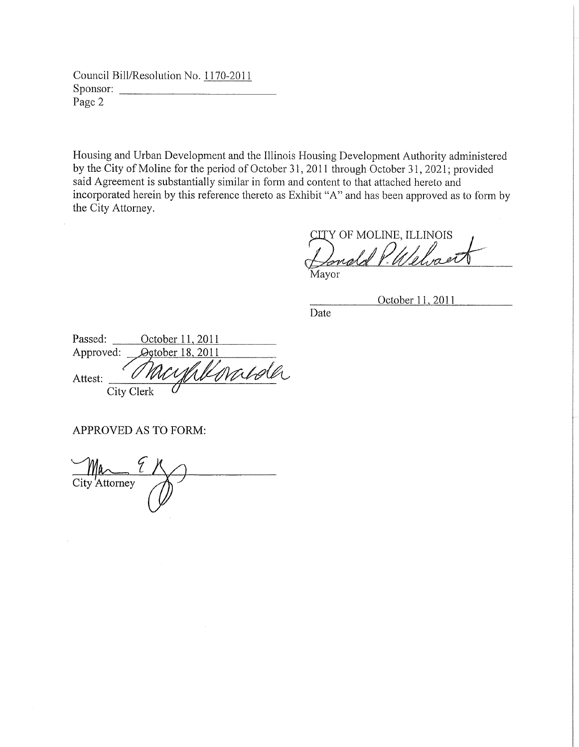Council Bill/Resolution No. 1170-2011 Sponsor: Page 2

Housing and Urban Development and the Illinois Housing Development Authority administered by the City of Moline for the period of October 31, 2011 through October 31, 2021; provided said Agreement is substantially similar in form and content to that attached hereto and incorporated herein by this reference thereto as Exhibit "A" and has been approved as to form by the City Attorney.

Y OF MOLINE, ILLINOIS

Mavor

October 11 2011

Date

| Passed:   | October 11, 2011 |
|-----------|------------------|
| Approved: | Ogtober 18, 2011 |
| Attest:   | Kenalda          |
|           | City Clerk       |

APPROVED AS TO FORM:

City Attorney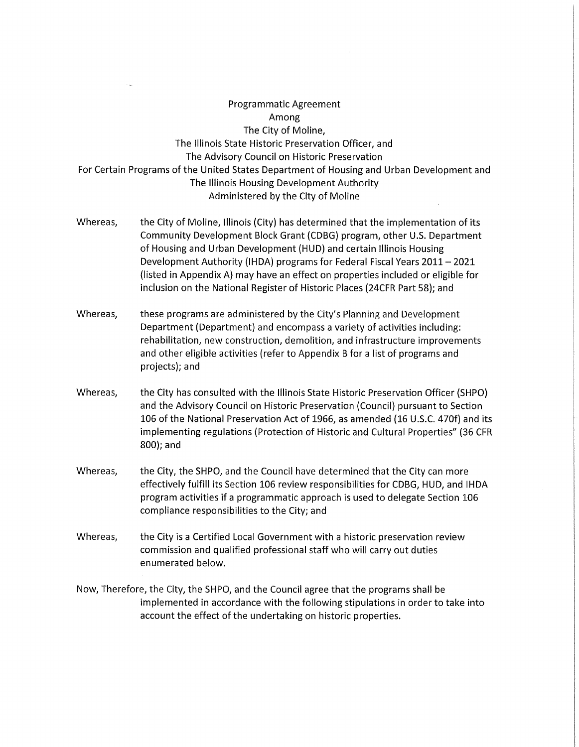# Programmatic Agreement Among The City of Moline, The Illinois State Historic Preservation Officer, and The Advisory Council on Historic Preservation For Certain Programs of the United States Department of Housing and Urban Development and The Illinois Housing Development Authority Administered by the City of Moline

- Whereas, the City of Moline, Illinois (City) has determined that the implementation of its Community Development Block Grant (CDBG) program, other U.S. Department of Housing and Urban Development (HUD) and certain Illinois Housing Development Authority (IHDA) programs for Federal Fiscal Years 2011- 2021 (listed in Appendix A) may have an effect on properties included or eligible for inclusion on the National Register of Historic Places (24CFR Part 58); and
- Whereas, these programs are administered by the City's Planning and Development Department (Department) and encompass a variety of activities including: rehabilitation, new construction, demolition, and infrastructure improvements and other eligible activities (refer to Appendix B for a list of programs and projects); and
- Whereas, the City has consulted with the Illinois State Historic Preservation Officer (SHPO) and the Advisory Council on Historic Preservation (Council) pursuant to Section 106 of the National Preservation Act of 1966, as amended (16 U.S.C. 470f) and its implementing regulations (Protection of Historic and Cultural Properties" (36 CFR 800); and
- Whereas, the City, the SHPO, and the Council have determined that the City can more effectively fulfill its Section 106 review responsibilities for CDBG, HUD, and IHDA program activities if a programmatic approach is used to delegate Section 106 compliance responsibilities to the City; and
- Whereas, the City is a Certified Local Government with a historic preservation review commission and qualified professional staff who will carry out duties enumerated below.
- Now, Therefore, the City, the SHPO, and the Council agree that the programs shall be implemented in accordance with the following stipulations in order to take into account the effect of the undertaking on historic properties.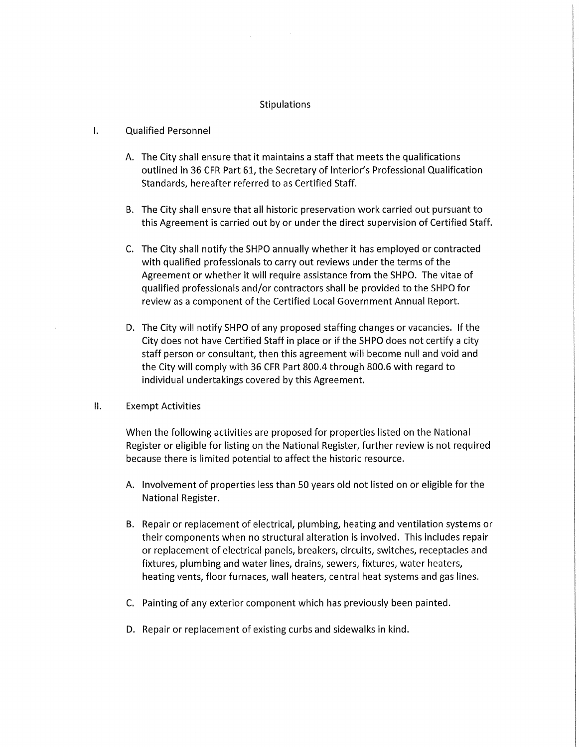#### Stipulations

### I. Qualified Personnel

- A. The City shall ensure that it maintains a staff that meets the qualifications outlined in 36 CFR Part 61, the Secretary of Interior's Professional Qualification Standards, hereafter referred to as Certified Staff.
- B. The City shall ensure that all historic preservation work carried out pursuant to this Agreement is carried out by or under the direct supervision of Certified Staff.
- C. The City shall notify the SHPO annually whether it has employed or contracted with qualified professionals to carry out reviews under the terms of the Agreement or whether it will require assistance from the SHPO. The vitae of qualified professionals and/or contractors shall be provided to the SHPO for review as a component of the Certified Local Government Annual Report.
- D. The City will notify SHPO of any proposed staffing changes or vacancies. If the City does not have Certified Staff in place or if the SHPO does not certify a city staff person or consultant, then this agreement will become null and void and the City will comply with 36 CFR Part 800.4 through 800.6 with regard to individual undertakings covered by this Agreement.

#### II. Exempt Activities

When the following activities are proposed for properties listed on the National Register or eligible for listing on the National Register, further review is not required because there is limited potential to affect the historic resource.

- A. Involvement of properties less than 50 years old not listed on or eligible for the National Register.
- B. Repair or replacement of electrical, plumbing, heating and ventilation systems or their components when no structural alteration is involved. This includes repair or replacement of electrical panels, breakers, circuits, switches, receptacles and fixtures, plumbing and water lines, drains, sewers, fixtures, water heaters, heating vents, floor furnaces, wall heaters, central heat systems and gas lines.
- C. Painting of any exterior component which has previously been painted.
- D. Repair or replacement of existing curbs and sidewalks in kind.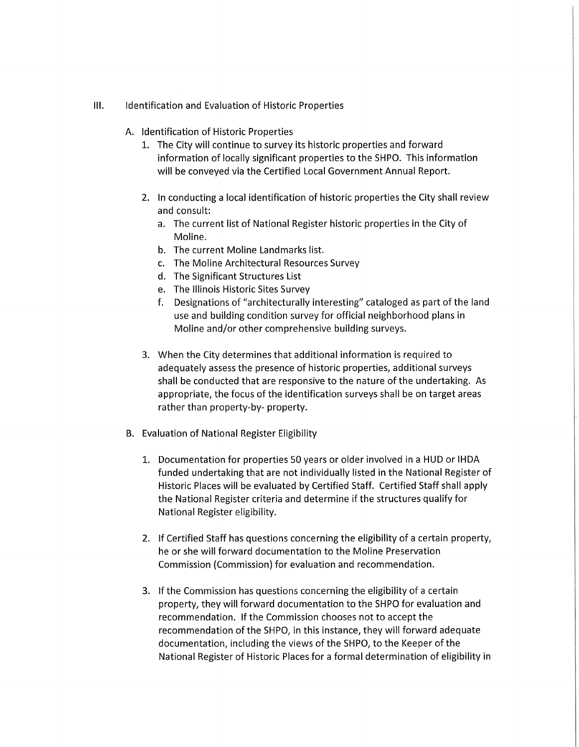- III. Identification and Evaluation of Historic Properties
	- A. Identification of Historic Properties
		- 1. The City will continue to survey its historic properties and forward information of locally significant properties to the SHPO. This information will be conveyed via the Certified Local Government Annual Report.
		- 2. In conducting a local identification of historic properties the City shall review and consult:
			- a. The current list of National Register historic properties in the City of Moline.
			- b. The current Moline Landmarks list.
			- c. The Moline Architectural Resources Survey
			- d. The Significant Structures List
			- e. The Illinois Historic Sites Survey
			- f. Designations of "architecturally interesting" cataloged as part of the land use and building condition survey for official neighborhood plans in Moline and/or other comprehensive building surveys.
		- 3. When the City determines that additional information is required to adequately assess the presence of historic properties, additional surveys shall be conducted that are responsive to the nature of the undertaking. As appropriate, the focus of the identification surveys shall be on target areas rather than property-by- property.
	- B. Evaluation of National Register Eligibility
		- 1. Documentation for properties 50 years or older involved in a HUD or IHDA funded undertaking that are not individually listed in the National Register of Historic Places will be evaluated by Certified Staff. Certified Staff shall apply the National Register criteria and determine if the structures qualify for National Register eligibility.
		- 2. If Certified Staff has questions concerning the eligibility of a certain property, he or she will forward documentation to the Moline Preservation Commission (Commission) for evaluation and recommendation.
		- 3. If the Commission has questions concerning the eligibility of a certain property, they will forward documentation to the SHPO for evaluation and recommendation. If the Commission chooses not to accept the recommendation of the SHPO, in this instance, they will forward adequate documentation, including the views of the SHPO, to the Keeper of the National Register of Historic Places for a formal determination of eligibility in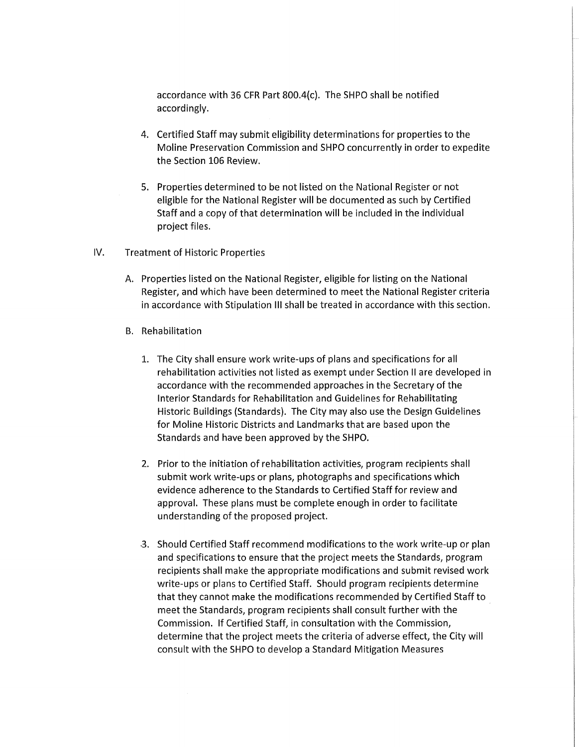accordance with 36 CFR Part 800.4{c). The SHPO shall be notified accordingly.

- 4. Certified Staff may submit eligibility determinations for properties to the Moline Preservation Commission and SHPO concurrently in order to expedite the Section 106 Review.
- 5. Properties determined to be not listed on the National Register or not eligible for the National Register will be documented as such by Certified Staff and a copy of that determination will be included in the individual project files.
- IV. Treatment of Historic Properties
	- A. Properties listed on the National Register, eligible for listing on the National Register, and which have been determined to meet the National Register criteria in accordance with Stipulation Ill shall be treated in accordance with this section.
	- B. Rehabilitation
		- 1. The City shall ensure work write-ups of plans and specifications for all rehabilitation activities not listed as exempt under Section II are developed in accordance with the recommended approaches in the Secretary of the Interior Standards for Rehabilitation and Guidelines for Rehabilitating Historic Buildings {Standards). The City may also use the Design Guidelines for Moline Historic Districts and Landmarks that are based upon the Standards and have been approved by the SHPO.
		- 2. Prior to the initiation of rehabilitation activities, program recipients shall submit work write-ups or plans, photographs and specifications which evidence adherence to the Standards to Certified Staff for review and approval. These plans must be complete enough in order to facilitate understanding of the proposed project.
		- .3. Should Certified Staff recommend modifications to the work write-up or plan and specifications to ensure that the project meets the Standards, program recipients shall make the appropriate modifications and submit revised work write-ups or plans to Certified Staff. Should program recipients determine that they cannot make the modifications recommended by Certified Staff to meet the Standards, program recipients shall consult further with the Commission. If Certified Staff, in consultation with the Commission, determine that the project meets the criteria of adverse effect, the City will consult with the SHPO to develop a Standard Mitigation Measures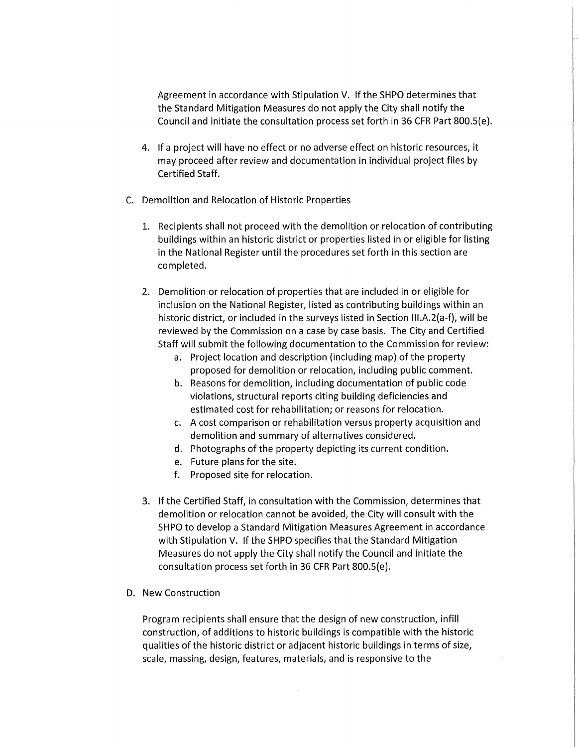Agreement in accordance with Stipulation V. If the SHPO determines that the Standard Mitigation Measures do not apply the City shall notify the Council and initiate the consultation process set forth in 36 CFR Part 800.S(e).

- 4. If a project will have no effect or no adverse effect on historic resources, it may proceed after review and documentation in individual project files by Certified Staff.
- C. Demolition and Relocation of Historic Properties
	- 1. Recipients shall not proceed with the demolition or relocation of contributing buildings within an historic district or properties listed in or eligible for listing in the National Register until the procedures set forth in this section are completed.
	- 2. Demolition or relocation of properties that are included in or eligible for inclusion on the National Register, listed as contributing buildings within an historic district, or included in the surveys listed in Section III.A.2(a-f), will be reviewed by the Commission on a case by case basis. The City and Certified Staff will submit the following documentation to the Commission for review:
		- a. Project location and description (including map) of the property proposed for demolition or relocation, including public comment.
		- b. Reasons for demolition, including documentation of public code violations, structural reports citing building deficiencies and estimated cost for rehabilitation; or reasons for relocation.
		- c. A cost comparison or rehabilitation versus property acquisition and demolition and summary of alternatives considered.
		- d. Photographs of the property depicting its current condition.
		- e. Future plans for the site.
		- f. Proposed site for relocation.
	- 3. If the Certified Staff, in consultation with the Commission, determines that demolition or relocation cannot be avoided, the City will consult with the SHPO to develop a Standard Mitigation Measures Agreement in accordance with Stipulation V. If the SHPO specifies that the Standard Mitigation Measures do not apply the City shall notify the Council and initiate the consultation process set forth in 36 CFR Part 800.S(e).
- D. New Construction

Program recipients shall ensure that the design of new construction, infill construction, of additions to historic buildings is compatible with the historic qualities of the historic district or adjacent historic buildings in terms of size, scale, massing, design, features, materials, and is responsive to the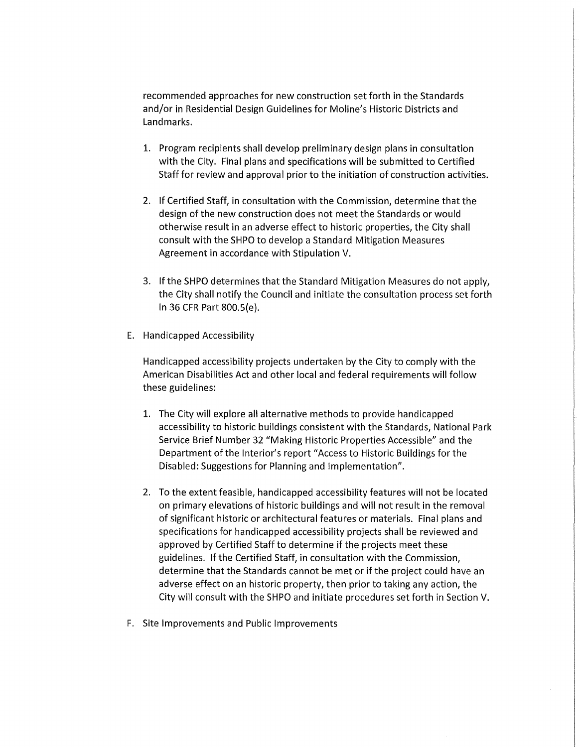recommended approaches for new construction set forth in the Standards and/or in Residential Design Guidelines for Moline's Historic Districts and Landmarks.

- 1. Program recipients shall develop preliminary design plans in consultation with the City. Final plans and specifications will be submitted to Certified Staff for review and approval prior to the initiation of construction activities.
- 2. If Certified Staff, in consultation with the Commission, determine that the design of the new construction does not meet the Standards or would otherwise result in an adverse effect to historic properties, the City shall consult with the SHPO to develop a Standard Mitigation Measures Agreement in accordance with Stipulation V.
- 3. If the SHPO determines that the Standard Mitigation Measures do not apply, the City shall notify the Council and initiate the consultation process set forth in 36 CFR Part 800.S(e).
- E. Handicapped Accessibility

Handicapped accessibility projects undertaken by the City to comply with the American Disabilities Act and other local and federal requirements will follow these guidelines:

- 1. The City will explore all alternative methods to provide handicapped accessibility to historic buildings consistent with the Standards, National Park Service Brief Number 32 "Making Historic Properties Accessible" and the Department of the Interior's report "Access to Historic Buildings for the Disabled: Suggestions for Planning and Implementation".
- 2. To the extent feasible, handicapped accessibility features will not be located on primary elevations of historic buildings and will not result in the removal of significant historic or architectural features or materials. Final plans and specifications for handicapped accessibility projects shall be reviewed and approved by Certified Staff to determine if the projects meet these guidelines. If the Certified Staff, in consultation with the Commission, determine that the Standards cannot be met or if the project could have an adverse effect on an historic property, then prior to taking any action, the City will consult with the SHPO and initiate procedures set forth in Section V.
- F. Site Improvements and Public Improvements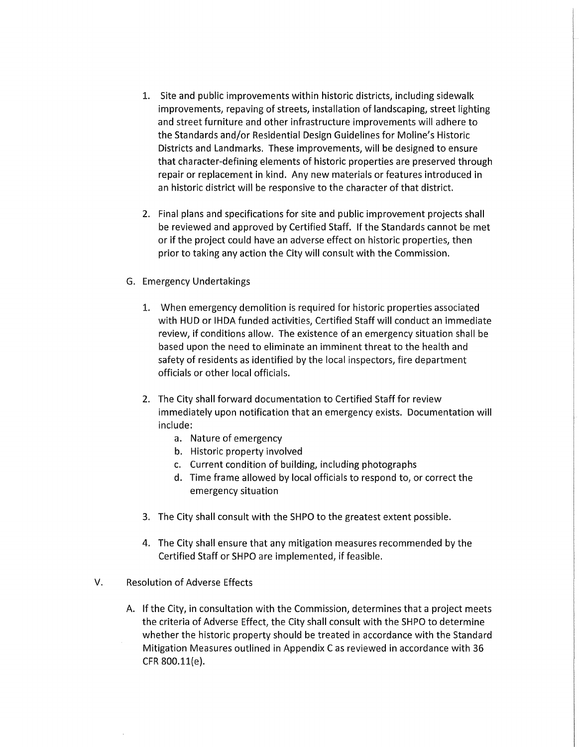- 1. Site and public improvements within historic districts, including sidewalk improvements, repaving of streets, installation of landscaping, street lighting and street furniture and other infrastructure improvements will adhere to the Standards and/or Residential Design Guidelines for Moline's Historic Districts and Landmarks. These improvements, will be designed to ensure that character-defining elements of historic properties are preserved through repair or replacement in kind. Any new materials or features introduced in an historic district will be responsive to the character of that district.
- 2. Final plans and specifications for site and public improvement projects shall be reviewed and approved by Certified Staff. If the Standards cannot be met or if the project could have an adverse effect on historic properties, then prior to taking any action the City will consult with the Commission.
- G. Emergency Undertakings
	- 1. When emergency demolition is required for historic properties associated with HUD or IHDA funded activities, Certified Staff will conduct an immediate review, if conditions allow. The existence of an emergency situation shall be based upon the need to eliminate an imminent threat to the health and safety of residents as identified by the local inspectors, fire department officials or other local officials.
	- 2. The City shall forward documentation to Certified Staff for review immediately upon notification that an emergency exists. Documentation will include:
		- a. Nature of emergency
		- b. Historic property involved
		- c. Current condition of building, including photographs
		- d. Time frame allowed by local officials to respond to, or correct the emergency situation
	- 3. The City shall consult with the SHPO to the greatest extent possible.
	- 4. The City shall ensure that any mitigation measures recommended by the Certified Staff or SHPO are implemented, if feasible.
- V. Resolution of Adverse Effects
	- A. If the City, in consultation with the Commission, determines that a project meets the criteria of Adverse Effect, the City shall consult with the SHPO to determine whether the historic property should be treated in accordance with the Standard Mitigation Measures outlined in Appendix C as reviewed in accordance with 36 CFR 800.ll{e).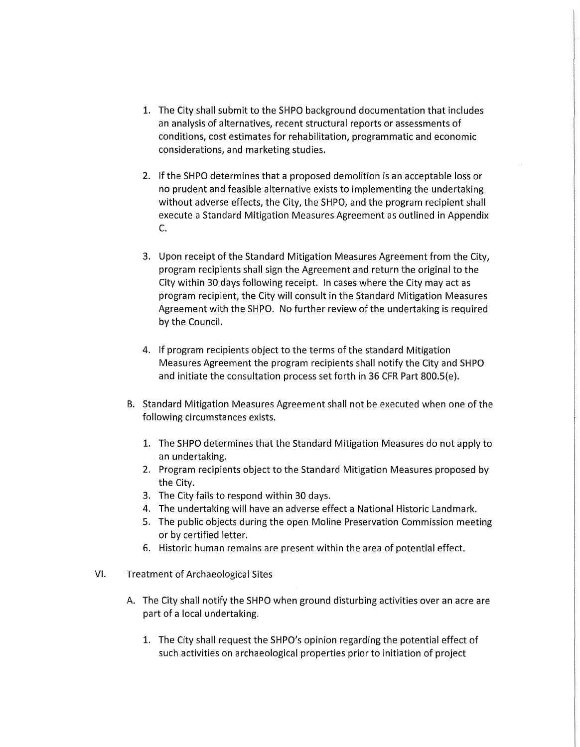- 1. The City shall submit to the SHPO background documentation that includes an analysis of alternatives, recent structural reports or assessments of conditions, cost estimates for rehabilitation, programmatic and economic considerations, and marketing studies.
- 2. If the SHPO determines that a proposed demolition is an acceptable loss or no prudent and feasible alternative exists to implementing the undertaking without adverse effects, the City, the SHPO, and the program recipient shall execute a Standard Mitigation Measures Agreement as outlined in Appendix C.
- 3. Upon receipt of the Standard Mitigation Measures Agreement from the City, program recipients shall sign the Agreement and return the original to the City within 30 days following receipt. In cases where the City may act as program recipient, the City will consult in the Standard Mitigation Measures Agreement with the SHPO. No further review of the undertaking is required by the Council.
- 4. If program recipients object to the terms of the standard Mitigation Measures Agreement the program recipients shall notify the City and SHPO and initiate the consultation process set forth in 36 CFR Part 800.S{e).
- B. Standard Mitigation Measures Agreement shall not be executed when one of the following circumstances exists.
	- 1. The SHPO determines that the Standard Mitigation Measures do not apply to an undertaking.
	- 2. Program recipients object to the Standard Mitigation Measures proposed by the City.
	- 3. The City fails to respond within 30 days.
	- 4. The undertaking will have an adverse effect a National Historic Landmark.
	- 5. The public objects during the open Moline Preservation Commission meeting or by certified letter.
	- 6. Historic human remains are present within the area of potential effect.
- VI. Treatment of Archaeological Sites
	- A. The City shall notify the SHPO when ground disturbing activities over an acre are part of a local undertaking.
		- 1. The City shall request the SHPO's opinion regarding the potential effect of such activities on archaeological properties prior to initiation of project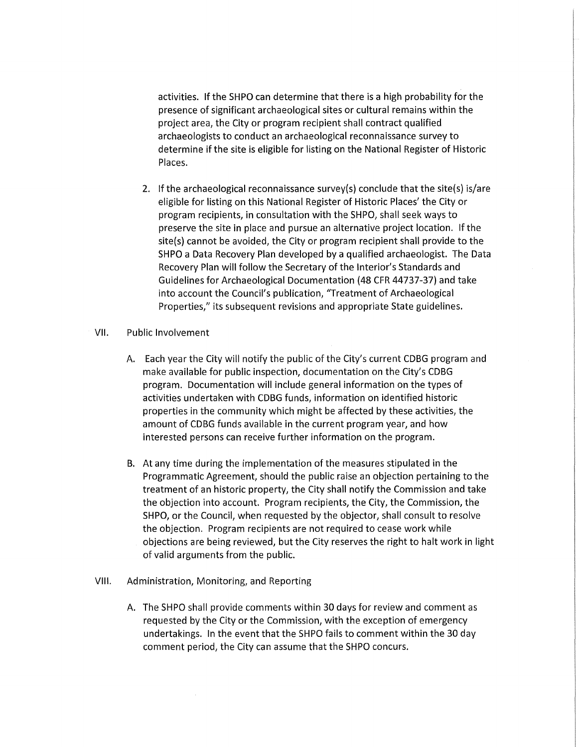activities. If the SHPO can determine that there is a high probability for the presence of significant archaeological sites or cultural remains within the project area, the City or program recipient shall contract qualified archaeologists to conduct an archaeological reconnaissance survey to determine if the site is eligible for listing on the National Register of Historic Places.

2. If the archaeological reconnaissance survey(s) conclude that the site(s) is/are eligible for listing on this National Register of Historic Places' the City or program recipients, in consultation with the SHPO, shall seek ways to preserve the site in place and pursue an alternative project location. If the site(s) cannot be avoided, the City or program recipient shall provide to the SHPO a Data Recovery Plan developed by a qualified archaeologist. The Data Recovery Plan will follow the Secretary of the Interior's Standards and Guidelines for Archaeological Documentation (48 CFR 44737-37) and take into account the Council's publication, "Treatment of Archaeological Properties," its subsequent revisions and appropriate State guidelines.

#### VII. Public Involvement

- A. Each year the City will notify the public of the City's current CDBG program and make available for public inspection, documentation on the City's CDBG program. Documentation will include general information on the types of activities undertaken with CDBG funds, information on identified historic properties in the community which might be affected by these activities, the amount of CDBG funds available in the current program year, and how interested persons can receive further information on the program.
- B. At any time during the implementation of the measures stipulated in the Programmatic Agreement, should the public raise an objection pertaining to the treatment of an historic property, the City shall notify the Commission and take the objection into account. Program recipients, the City, the Commission, the SHPO, or the Council, when requested by the objector, shall consult to resolve the objection. Program recipients are not required to cease work while objections are being reviewed, but the City reserves the right to halt work in light of valid arguments from the public.

### VIII. Administration, Monitoring, and Reporting

A. The SHPO shall provide comments within 30 days for review and comment as requested by the City or the Commission, with the exception of emergency undertakings. In the event that the SHPO fails to comment within the 30 day comment period, the City can assume that the SHPO concurs.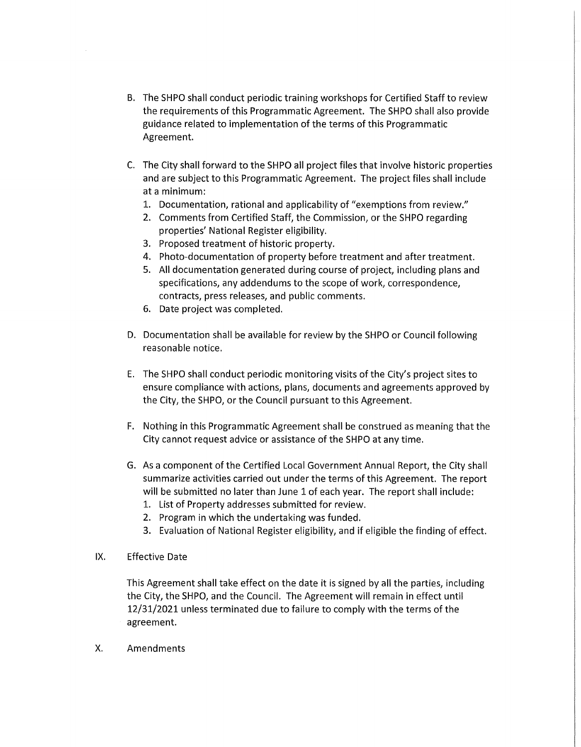- B. The SHPO shall conduct periodic training workshops for Certified Staff to review the requirements of this Programmatic Agreement. The SHPO shall also provide guidance related to implementation of the terms of this Programmatic Agreement.
- C. The City shall forward to the SHPO all project files that involve historic properties and are subject to this Programmatic Agreement. The project files shall include at a minimum:
	- 1. Documentation, rational and applicability of "exemptions from review."
	- 2. Comments from Certified Staff, the Commission, or the SHPO regarding properties' National Register eligibility.
	- 3. Proposed treatment of historic property.
	- 4. Photo-documentation of property before treatment and after treatment.
	- 5. All documentation generated during course of project, including plans and specifications, any addendums to the scope of work, correspondence, contracts, press releases, and public comments.
	- 6. Date project was completed.
- D. Documentation shall be available for review by the SHPO or Council following reasonable notice.
- E. The SHPO shall conduct periodic monitoring visits of the City's project sites to ensure compliance with actions, plans, documents and agreements approved by the City, the SHPO, or the Council pursuant to this Agreement.
- F. Nothing in this Programmatic Agreement shall be construed as meaning that the City cannot request advice or assistance of the SHPO at any time.
- G. As a component of the Certified Local Government Annual Report, the City shall summarize activities carried out under the terms of this Agreement. The report will be submitted no later than June 1 of each year. The report shall include:
	- 1. List of Property addresses submitted for review.
	- 2. Program in which the undertaking was funded.
	- 3. Evaluation of National Register eligibility, and if eligible the finding of effect.
- IX. Effective Date

This Agreement shall take effect on the date it is signed by all the parties, including the City, the SHPO, and the Council. The Agreement will remain in effect until 12/31/2021 unless terminated due to failure to comply with the terms of the agreement.

X. Amendments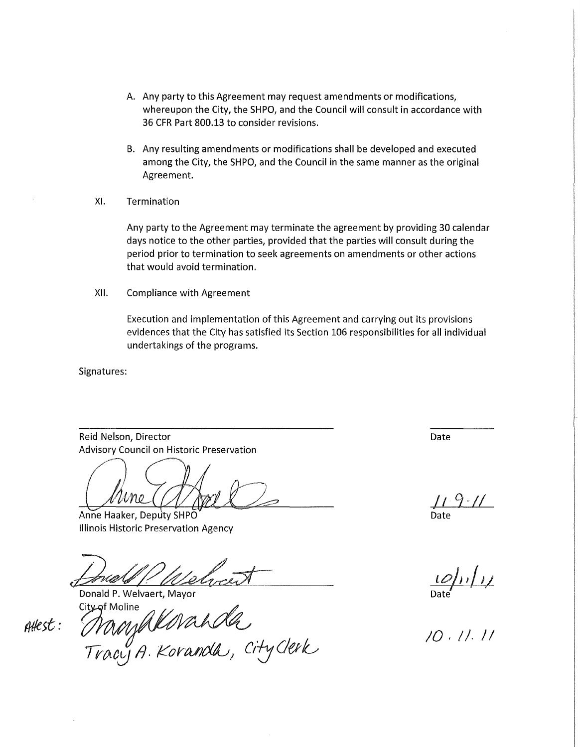- A. Any party to this Agreement may request amendments or modifications, whereupon the City, the SHPO, and the Council will consult in accordance with 36 CFR Part 800.13 to consider revisions.
- B. Any resulting amendments or modifications shall be developed and executed among the City, the SHPO, and the Council in the same manner as the original Agreement.
- XI. Termination

Any party to the Agreement may terminate the agreement by providing 30 calendar days notice to the other parties, provided that the parties will consult during the period prior to termination to seek agreements on amendments or other actions that would avoid termination.

XII. Compliance with Agreement

Execution and implementation of this Agreement and carrying out its provisions evidences that the City has satisfied its Section 106 responsibilities for all individual undertakings of the programs.

Signatures:

Reid Nelson, Director Advisory Council on Historic Preservation

eid Nelson, Director<br>dvisory Council on Historic Preservation<br>and Haaker Deputy SHPO

Anne Haaker, Deputy SHPO Illinois Historic Preservation Agency

Donald P. Welvaert, Mayor City of Moline

 $A$ H $est:$ 

city of Moline<br>Many Allavah da<br>Tracy A. Koranda, City Clerk

Date

Date

*toh,/,1 I* , ' Date

/0, I/. I *I*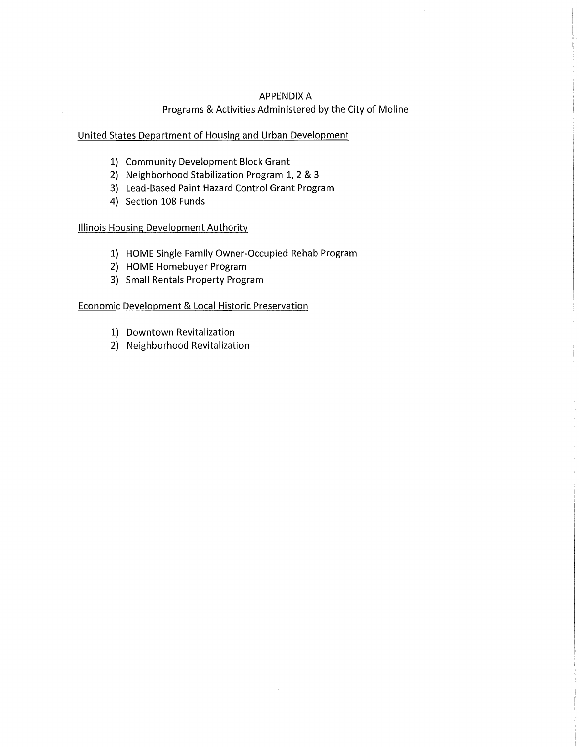## APPENDIX A Programs & Activities Administered by the City of Moline

## United States Department of Housing and Urban Development

- 1) Community Development Block Grant
- 2) Neighborhood Stabilization Program 1, 2 & 3
- 3) Lead-Based Paint Hazard Control Grant Program
- 4) Section 108 Funds

 $\sim$ 

## Illinois Housing Development Authority

- 1) HOME Single Family Owner-Occupied Rehab Program
- 2) HOME Homebuyer Program
- 3) Small Rentals Property Program

## Economic Development & Local Historic Preservation

- 1) Downtown Revitalization
- 2) Neighborhood Revitalization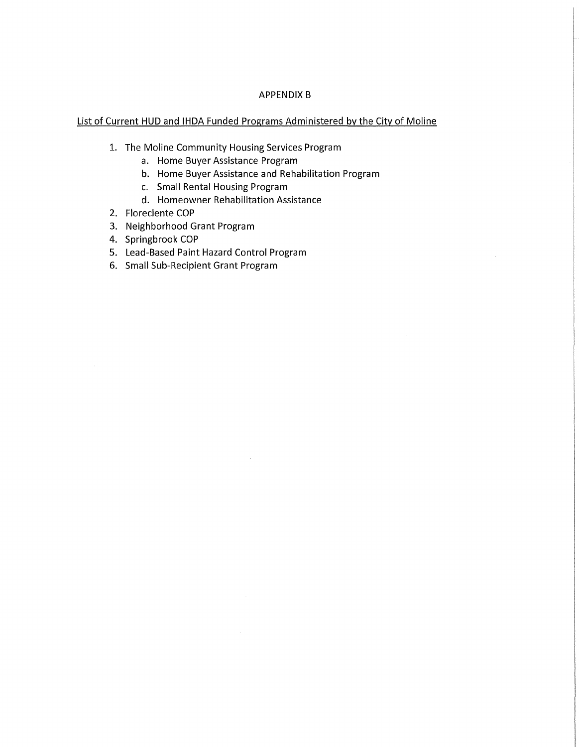## APPENDIX B

## List of Current HUD and IHDA Funded Programs Administered by the City of Moline

- 1. The Moline Community Housing Services Program
	- a. Home Buyer Assistance Program
	- b. Home Buyer Assistance and Rehabilitation Program
	- c. Small Rental Housing Program
	- d. Homeowner Rehabilitation Assistance
- 2. Floreciente COP
- 3. Neighborhood Grant Program
- 4. Springbrook COP
- 5. Lead-Based Paint Hazard Control Program
- 6. Small Sub-Recipient Grant Program